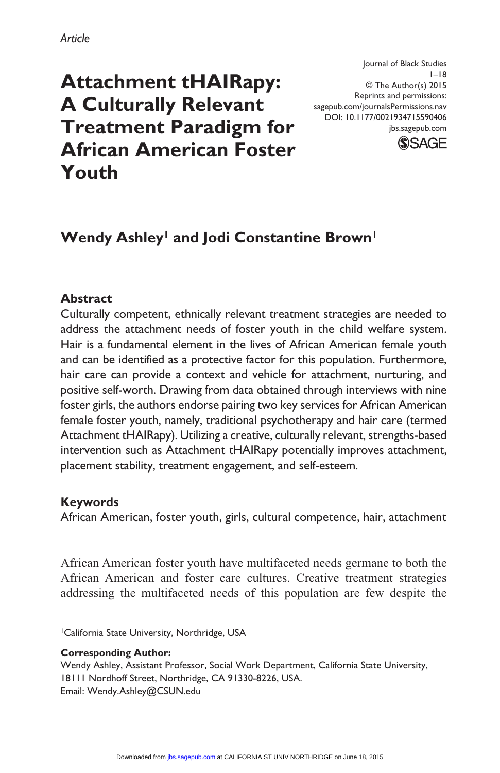# **Attachment tHAIRapy: A Culturally Relevant Treatment Paradigm for African American Foster Youth**

Journal of Black Studies  $1 - 18$ © The Author(s) 2015 Reprints and permissions: sagepub.com/journalsPermissions.nav DOI: 10.1177/0021934715590406 jbs.sagepub.com



# Wendy Ashley<sup>1</sup> and Jodi Constantine Brown<sup>1</sup>

#### **Abstract**

Culturally competent, ethnically relevant treatment strategies are needed to address the attachment needs of foster youth in the child welfare system. Hair is a fundamental element in the lives of African American female youth and can be identified as a protective factor for this population. Furthermore, hair care can provide a context and vehicle for attachment, nurturing, and positive self-worth. Drawing from data obtained through interviews with nine foster girls, the authors endorse pairing two key services for African American female foster youth, namely, traditional psychotherapy and hair care (termed Attachment tHAIRapy). Utilizing a creative, culturally relevant, strengths-based intervention such as Attachment tHAIRapy potentially improves attachment, placement stability, treatment engagement, and self-esteem.

#### **Keywords**

African American, foster youth, girls, cultural competence, hair, attachment

African American foster youth have multifaceted needs germane to both the African American and foster care cultures. Creative treatment strategies addressing the multifaceted needs of this population are few despite the

**Corresponding Author:**

Wendy Ashley, Assistant Professor, Social Work Department, California State University, 18111 Nordhoff Street, Northridge, CA 91330-8226, USA. Email: [Wendy.Ashley@CSUN.edu](mailto:Wendy.Ashley@CSUN.edu)

<sup>1</sup>California State University, Northridge, USA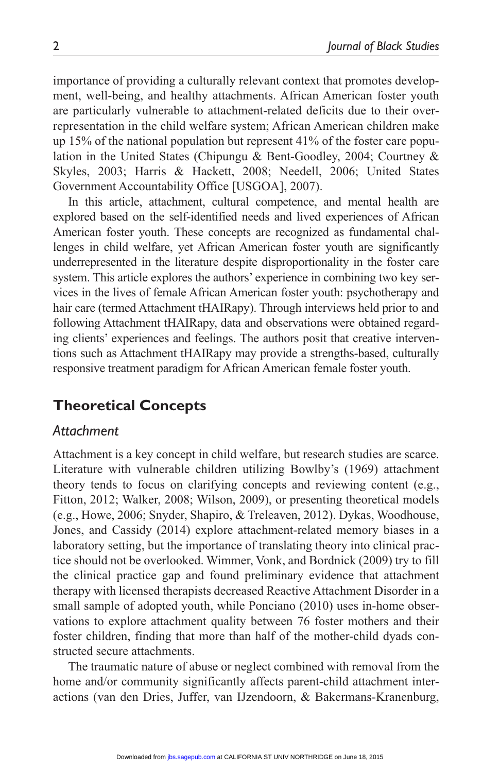importance of providing a culturally relevant context that promotes development, well-being, and healthy attachments. African American foster youth are particularly vulnerable to attachment-related deficits due to their overrepresentation in the child welfare system; African American children make up 15% of the national population but represent 41% of the foster care population in the United States (Chipungu & Bent-Goodley, 2004; Courtney & Skyles, 2003; Harris & Hackett, 2008; Needell, 2006; United States Government Accountability Office [USGOA], 2007).

In this article, attachment, cultural competence, and mental health are explored based on the self-identified needs and lived experiences of African American foster youth. These concepts are recognized as fundamental challenges in child welfare, yet African American foster youth are significantly underrepresented in the literature despite disproportionality in the foster care system. This article explores the authors' experience in combining two key services in the lives of female African American foster youth: psychotherapy and hair care (termed Attachment tHAIRapy). Through interviews held prior to and following Attachment tHAIRapy, data and observations were obtained regarding clients' experiences and feelings. The authors posit that creative interventions such as Attachment tHAIRapy may provide a strengths-based, culturally responsive treatment paradigm for African American female foster youth.

# **Theoretical Concepts**

## *Attachment*

Attachment is a key concept in child welfare, but research studies are scarce. Literature with vulnerable children utilizing Bowlby's (1969) attachment theory tends to focus on clarifying concepts and reviewing content (e.g., Fitton, 2012; Walker, 2008; Wilson, 2009), or presenting theoretical models (e.g., Howe, 2006; Snyder, Shapiro, & Treleaven, 2012). Dykas, Woodhouse, Jones, and Cassidy (2014) explore attachment-related memory biases in a laboratory setting, but the importance of translating theory into clinical practice should not be overlooked. Wimmer, Vonk, and Bordnick (2009) try to fill the clinical practice gap and found preliminary evidence that attachment therapy with licensed therapists decreased Reactive Attachment Disorder in a small sample of adopted youth, while Ponciano (2010) uses in-home observations to explore attachment quality between 76 foster mothers and their foster children, finding that more than half of the mother-child dyads constructed secure attachments.

The traumatic nature of abuse or neglect combined with removal from the home and/or community significantly affects parent-child attachment interactions (van den Dries, Juffer, van IJzendoorn, & Bakermans-Kranenburg,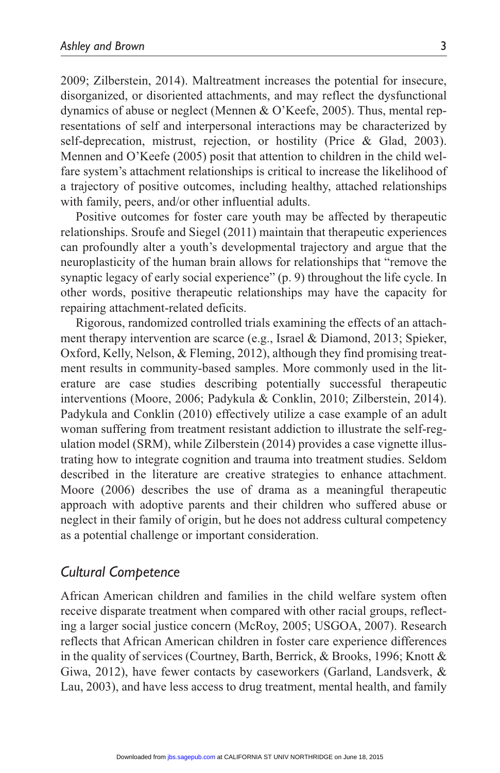2009; Zilberstein, 2014). Maltreatment increases the potential for insecure, disorganized, or disoriented attachments, and may reflect the dysfunctional dynamics of abuse or neglect (Mennen & O'Keefe, 2005). Thus, mental representations of self and interpersonal interactions may be characterized by self-deprecation, mistrust, rejection, or hostility (Price & Glad, 2003). Mennen and O'Keefe (2005) posit that attention to children in the child welfare system's attachment relationships is critical to increase the likelihood of a trajectory of positive outcomes, including healthy, attached relationships with family, peers, and/or other influential adults.

Positive outcomes for foster care youth may be affected by therapeutic relationships. Sroufe and Siegel (2011) maintain that therapeutic experiences can profoundly alter a youth's developmental trajectory and argue that the neuroplasticity of the human brain allows for relationships that "remove the synaptic legacy of early social experience" (p. 9) throughout the life cycle. In other words, positive therapeutic relationships may have the capacity for repairing attachment-related deficits.

Rigorous, randomized controlled trials examining the effects of an attachment therapy intervention are scarce (e.g., Israel & Diamond, 2013; Spieker, Oxford, Kelly, Nelson, & Fleming, 2012), although they find promising treatment results in community-based samples. More commonly used in the literature are case studies describing potentially successful therapeutic interventions (Moore, 2006; Padykula & Conklin, 2010; Zilberstein, 2014). Padykula and Conklin (2010) effectively utilize a case example of an adult woman suffering from treatment resistant addiction to illustrate the self-regulation model (SRM), while Zilberstein (2014) provides a case vignette illustrating how to integrate cognition and trauma into treatment studies. Seldom described in the literature are creative strategies to enhance attachment. Moore (2006) describes the use of drama as a meaningful therapeutic approach with adoptive parents and their children who suffered abuse or neglect in their family of origin, but he does not address cultural competency as a potential challenge or important consideration.

### *Cultural Competence*

African American children and families in the child welfare system often receive disparate treatment when compared with other racial groups, reflecting a larger social justice concern (McRoy, 2005; USGOA, 2007). Research reflects that African American children in foster care experience differences in the quality of services (Courtney, Barth, Berrick, & Brooks, 1996; Knott & Giwa, 2012), have fewer contacts by caseworkers (Garland, Landsverk, & Lau, 2003), and have less access to drug treatment, mental health, and family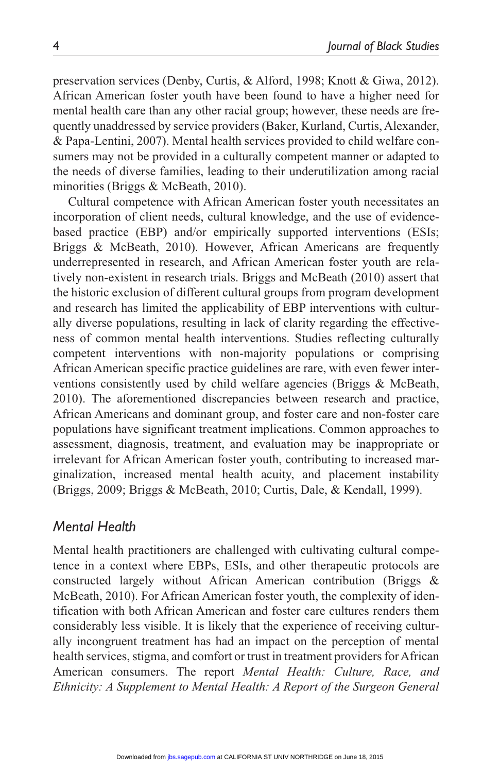preservation services (Denby, Curtis, & Alford, 1998; Knott & Giwa, 2012). African American foster youth have been found to have a higher need for mental health care than any other racial group; however, these needs are frequently unaddressed by service providers (Baker, Kurland, Curtis, Alexander, & Papa-Lentini, 2007). Mental health services provided to child welfare consumers may not be provided in a culturally competent manner or adapted to the needs of diverse families, leading to their underutilization among racial minorities (Briggs & McBeath, 2010).

Cultural competence with African American foster youth necessitates an incorporation of client needs, cultural knowledge, and the use of evidencebased practice (EBP) and/or empirically supported interventions (ESIs; Briggs & McBeath, 2010). However, African Americans are frequently underrepresented in research, and African American foster youth are relatively non-existent in research trials. Briggs and McBeath (2010) assert that the historic exclusion of different cultural groups from program development and research has limited the applicability of EBP interventions with culturally diverse populations, resulting in lack of clarity regarding the effectiveness of common mental health interventions. Studies reflecting culturally competent interventions with non-majority populations or comprising African American specific practice guidelines are rare, with even fewer interventions consistently used by child welfare agencies (Briggs & McBeath, 2010). The aforementioned discrepancies between research and practice, African Americans and dominant group, and foster care and non-foster care populations have significant treatment implications. Common approaches to assessment, diagnosis, treatment, and evaluation may be inappropriate or irrelevant for African American foster youth, contributing to increased marginalization, increased mental health acuity, and placement instability (Briggs, 2009; Briggs & McBeath, 2010; Curtis, Dale, & Kendall, 1999).

## *Mental Health*

Mental health practitioners are challenged with cultivating cultural competence in a context where EBPs, ESIs, and other therapeutic protocols are constructed largely without African American contribution (Briggs & McBeath, 2010). For African American foster youth, the complexity of identification with both African American and foster care cultures renders them considerably less visible. It is likely that the experience of receiving culturally incongruent treatment has had an impact on the perception of mental health services, stigma, and comfort or trust in treatment providers for African American consumers. The report *Mental Health: Culture, Race, and Ethnicity: A Supplement to Mental Health: A Report of the Surgeon General*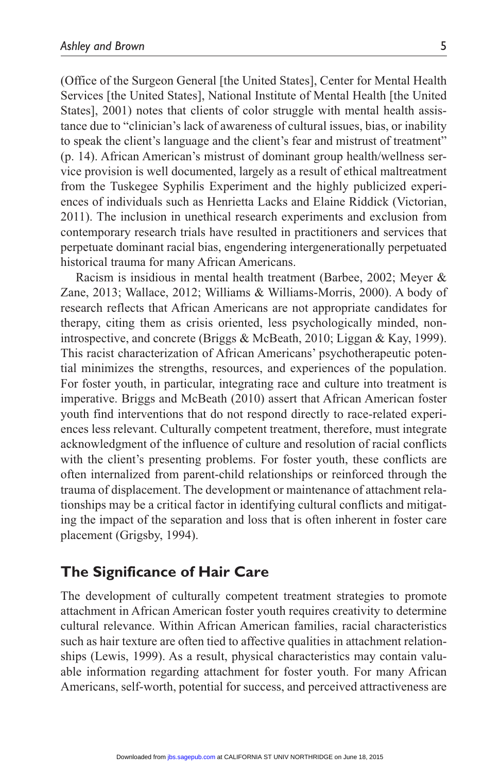(Office of the Surgeon General [the United States], Center for Mental Health Services [the United States], National Institute of Mental Health [the United States], 2001) notes that clients of color struggle with mental health assistance due to "clinician's lack of awareness of cultural issues, bias, or inability to speak the client's language and the client's fear and mistrust of treatment" (p. 14). African American's mistrust of dominant group health/wellness service provision is well documented, largely as a result of ethical maltreatment from the Tuskegee Syphilis Experiment and the highly publicized experiences of individuals such as Henrietta Lacks and Elaine Riddick (Victorian, 2011). The inclusion in unethical research experiments and exclusion from contemporary research trials have resulted in practitioners and services that perpetuate dominant racial bias, engendering intergenerationally perpetuated historical trauma for many African Americans.

Racism is insidious in mental health treatment (Barbee, 2002; Meyer & Zane, 2013; Wallace, 2012; Williams & Williams-Morris, 2000). A body of research reflects that African Americans are not appropriate candidates for therapy, citing them as crisis oriented, less psychologically minded, nonintrospective, and concrete (Briggs & McBeath, 2010; Liggan & Kay, 1999). This racist characterization of African Americans' psychotherapeutic potential minimizes the strengths, resources, and experiences of the population. For foster youth, in particular, integrating race and culture into treatment is imperative. Briggs and McBeath (2010) assert that African American foster youth find interventions that do not respond directly to race-related experiences less relevant. Culturally competent treatment, therefore, must integrate acknowledgment of the influence of culture and resolution of racial conflicts with the client's presenting problems. For foster youth, these conflicts are often internalized from parent-child relationships or reinforced through the trauma of displacement. The development or maintenance of attachment relationships may be a critical factor in identifying cultural conflicts and mitigating the impact of the separation and loss that is often inherent in foster care placement (Grigsby, 1994).

### **The Significance of Hair Care**

The development of culturally competent treatment strategies to promote attachment in African American foster youth requires creativity to determine cultural relevance. Within African American families, racial characteristics such as hair texture are often tied to affective qualities in attachment relationships (Lewis, 1999). As a result, physical characteristics may contain valuable information regarding attachment for foster youth. For many African Americans, self-worth, potential for success, and perceived attractiveness are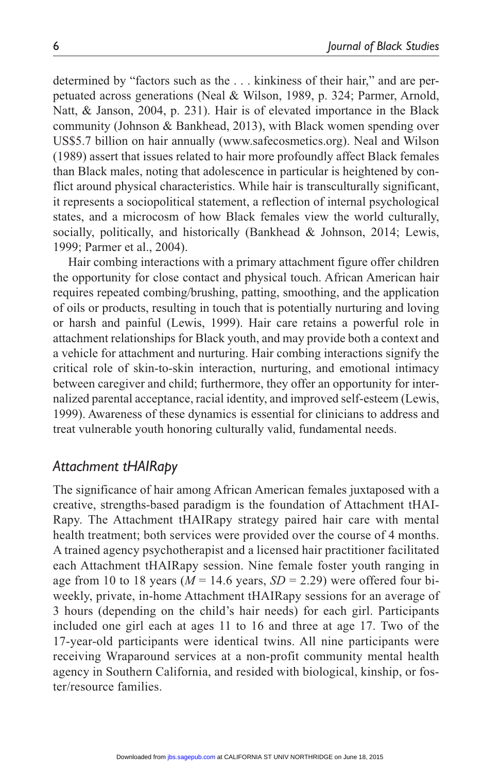determined by "factors such as the . . . kinkiness of their hair," and are perpetuated across generations (Neal & Wilson, 1989, p. 324; Parmer, Arnold, Natt, & Janson, 2004, p. 231). Hair is of elevated importance in the Black community (Johnson & Bankhead, 2013), with Black women spending over US\$5.7 billion on hair annually (<www.safecosmetics.org>). Neal and Wilson (1989) assert that issues related to hair more profoundly affect Black females than Black males, noting that adolescence in particular is heightened by conflict around physical characteristics. While hair is transculturally significant, it represents a sociopolitical statement, a reflection of internal psychological states, and a microcosm of how Black females view the world culturally, socially, politically, and historically (Bankhead & Johnson, 2014; Lewis, 1999; Parmer et al., 2004).

Hair combing interactions with a primary attachment figure offer children the opportunity for close contact and physical touch. African American hair requires repeated combing/brushing, patting, smoothing, and the application of oils or products, resulting in touch that is potentially nurturing and loving or harsh and painful (Lewis, 1999). Hair care retains a powerful role in attachment relationships for Black youth, and may provide both a context and a vehicle for attachment and nurturing. Hair combing interactions signify the critical role of skin-to-skin interaction, nurturing, and emotional intimacy between caregiver and child; furthermore, they offer an opportunity for internalized parental acceptance, racial identity, and improved self-esteem (Lewis, 1999). Awareness of these dynamics is essential for clinicians to address and treat vulnerable youth honoring culturally valid, fundamental needs.

# *Attachment tHAIRapy*

The significance of hair among African American females juxtaposed with a creative, strengths-based paradigm is the foundation of Attachment tHAI-Rapy. The Attachment tHAIRapy strategy paired hair care with mental health treatment; both services were provided over the course of 4 months. A trained agency psychotherapist and a licensed hair practitioner facilitated each Attachment tHAIRapy session. Nine female foster youth ranging in age from 10 to 18 years ( $M = 14.6$  years,  $SD = 2.29$ ) were offered four biweekly, private, in-home Attachment tHAIRapy sessions for an average of 3 hours (depending on the child's hair needs) for each girl. Participants included one girl each at ages 11 to 16 and three at age 17. Two of the 17-year-old participants were identical twins. All nine participants were receiving Wraparound services at a non-profit community mental health agency in Southern California, and resided with biological, kinship, or foster/resource families.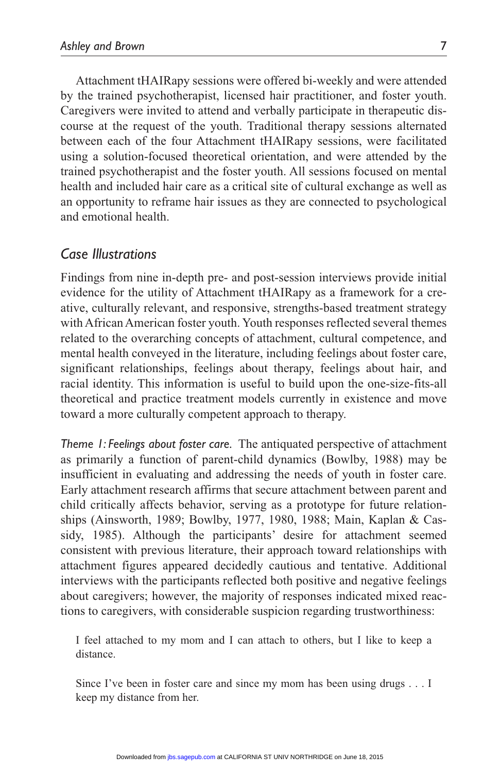Attachment tHAIRapy sessions were offered bi-weekly and were attended by the trained psychotherapist, licensed hair practitioner, and foster youth. Caregivers were invited to attend and verbally participate in therapeutic discourse at the request of the youth. Traditional therapy sessions alternated between each of the four Attachment tHAIRapy sessions, were facilitated using a solution-focused theoretical orientation, and were attended by the trained psychotherapist and the foster youth. All sessions focused on mental health and included hair care as a critical site of cultural exchange as well as an opportunity to reframe hair issues as they are connected to psychological and emotional health.

#### *Case Illustrations*

Findings from nine in-depth pre- and post-session interviews provide initial evidence for the utility of Attachment tHAIRapy as a framework for a creative, culturally relevant, and responsive, strengths-based treatment strategy with African American foster youth. Youth responses reflected several themes related to the overarching concepts of attachment, cultural competence, and mental health conveyed in the literature, including feelings about foster care, significant relationships, feelings about therapy, feelings about hair, and racial identity. This information is useful to build upon the one-size-fits-all theoretical and practice treatment models currently in existence and move toward a more culturally competent approach to therapy.

*Theme 1: Feelings about foster care.* The antiquated perspective of attachment as primarily a function of parent-child dynamics (Bowlby, 1988) may be insufficient in evaluating and addressing the needs of youth in foster care. Early attachment research affirms that secure attachment between parent and child critically affects behavior, serving as a prototype for future relationships (Ainsworth, 1989; Bowlby, 1977, 1980, 1988; Main, Kaplan & Cassidy, 1985). Although the participants' desire for attachment seemed consistent with previous literature, their approach toward relationships with attachment figures appeared decidedly cautious and tentative. Additional interviews with the participants reflected both positive and negative feelings about caregivers; however, the majority of responses indicated mixed reactions to caregivers, with considerable suspicion regarding trustworthiness:

I feel attached to my mom and I can attach to others, but I like to keep a distance.

Since I've been in foster care and since my mom has been using drugs . . . I keep my distance from her.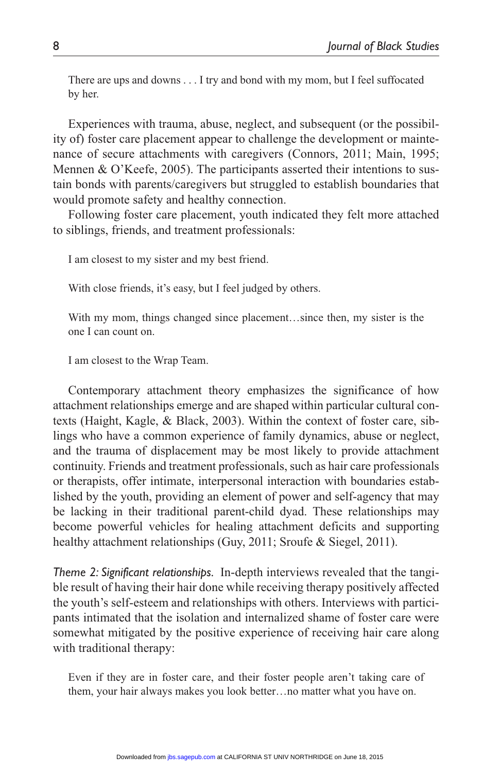There are ups and downs . . . I try and bond with my mom, but I feel suffocated by her.

Experiences with trauma, abuse, neglect, and subsequent (or the possibility of) foster care placement appear to challenge the development or maintenance of secure attachments with caregivers (Connors, 2011; Main, 1995; Mennen & O'Keefe, 2005). The participants asserted their intentions to sustain bonds with parents/caregivers but struggled to establish boundaries that would promote safety and healthy connection.

Following foster care placement, youth indicated they felt more attached to siblings, friends, and treatment professionals:

I am closest to my sister and my best friend.

With close friends, it's easy, but I feel judged by others.

With my mom, things changed since placement…since then, my sister is the one I can count on.

I am closest to the Wrap Team.

Contemporary attachment theory emphasizes the significance of how attachment relationships emerge and are shaped within particular cultural contexts (Haight, Kagle, & Black, 2003). Within the context of foster care, siblings who have a common experience of family dynamics, abuse or neglect, and the trauma of displacement may be most likely to provide attachment continuity. Friends and treatment professionals, such as hair care professionals or therapists, offer intimate, interpersonal interaction with boundaries established by the youth, providing an element of power and self-agency that may be lacking in their traditional parent-child dyad. These relationships may become powerful vehicles for healing attachment deficits and supporting healthy attachment relationships (Guy, 2011; Sroufe & Siegel, 2011).

*Theme 2: Significant relationships.* In-depth interviews revealed that the tangible result of having their hair done while receiving therapy positively affected the youth's self-esteem and relationships with others. Interviews with participants intimated that the isolation and internalized shame of foster care were somewhat mitigated by the positive experience of receiving hair care along with traditional therapy:

Even if they are in foster care, and their foster people aren't taking care of them, your hair always makes you look better…no matter what you have on.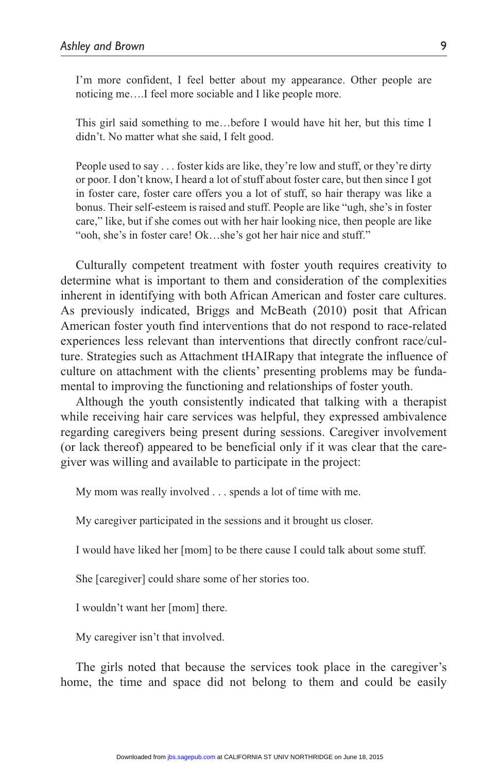I'm more confident, I feel better about my appearance. Other people are noticing me….I feel more sociable and I like people more.

This girl said something to me…before I would have hit her, but this time I didn't. No matter what she said, I felt good.

People used to say . . . foster kids are like, they're low and stuff, or they're dirty or poor. I don't know, I heard a lot of stuff about foster care, but then since I got in foster care, foster care offers you a lot of stuff, so hair therapy was like a bonus. Their self-esteem is raised and stuff. People are like "ugh, she's in foster care," like, but if she comes out with her hair looking nice, then people are like "ooh, she's in foster care! Ok…she's got her hair nice and stuff."

Culturally competent treatment with foster youth requires creativity to determine what is important to them and consideration of the complexities inherent in identifying with both African American and foster care cultures. As previously indicated, Briggs and McBeath (2010) posit that African American foster youth find interventions that do not respond to race-related experiences less relevant than interventions that directly confront race/culture. Strategies such as Attachment tHAIRapy that integrate the influence of culture on attachment with the clients' presenting problems may be fundamental to improving the functioning and relationships of foster youth.

Although the youth consistently indicated that talking with a therapist while receiving hair care services was helpful, they expressed ambivalence regarding caregivers being present during sessions. Caregiver involvement (or lack thereof) appeared to be beneficial only if it was clear that the caregiver was willing and available to participate in the project:

My mom was really involved . . . spends a lot of time with me.

My caregiver participated in the sessions and it brought us closer.

I would have liked her [mom] to be there cause I could talk about some stuff.

She [caregiver] could share some of her stories too.

I wouldn't want her [mom] there.

My caregiver isn't that involved.

The girls noted that because the services took place in the caregiver's home, the time and space did not belong to them and could be easily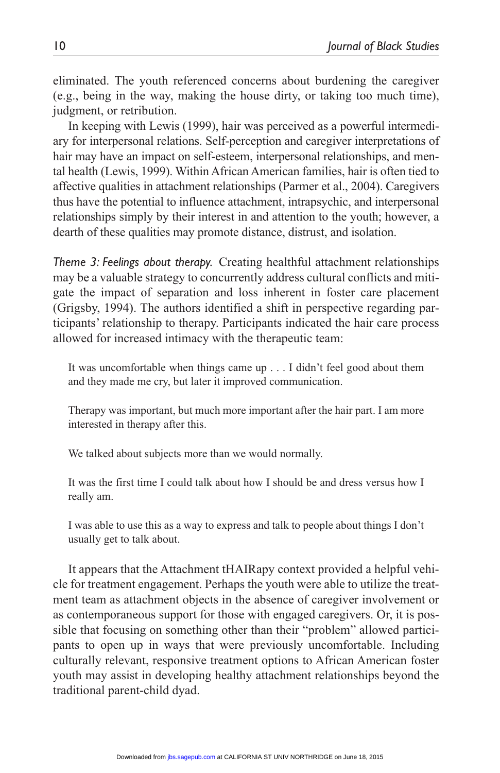eliminated. The youth referenced concerns about burdening the caregiver (e.g., being in the way, making the house dirty, or taking too much time), judgment, or retribution.

In keeping with Lewis (1999), hair was perceived as a powerful intermediary for interpersonal relations. Self-perception and caregiver interpretations of hair may have an impact on self-esteem, interpersonal relationships, and mental health (Lewis, 1999). Within African American families, hair is often tied to affective qualities in attachment relationships (Parmer et al., 2004). Caregivers thus have the potential to influence attachment, intrapsychic, and interpersonal relationships simply by their interest in and attention to the youth; however, a dearth of these qualities may promote distance, distrust, and isolation.

*Theme 3: Feelings about therapy.* Creating healthful attachment relationships may be a valuable strategy to concurrently address cultural conflicts and mitigate the impact of separation and loss inherent in foster care placement (Grigsby, 1994). The authors identified a shift in perspective regarding participants' relationship to therapy. Participants indicated the hair care process allowed for increased intimacy with the therapeutic team:

It was uncomfortable when things came up . . . I didn't feel good about them and they made me cry, but later it improved communication.

Therapy was important, but much more important after the hair part. I am more interested in therapy after this.

We talked about subjects more than we would normally.

It was the first time I could talk about how I should be and dress versus how I really am.

I was able to use this as a way to express and talk to people about things I don't usually get to talk about.

It appears that the Attachment tHAIRapy context provided a helpful vehicle for treatment engagement. Perhaps the youth were able to utilize the treatment team as attachment objects in the absence of caregiver involvement or as contemporaneous support for those with engaged caregivers. Or, it is possible that focusing on something other than their "problem" allowed participants to open up in ways that were previously uncomfortable. Including culturally relevant, responsive treatment options to African American foster youth may assist in developing healthy attachment relationships beyond the traditional parent-child dyad.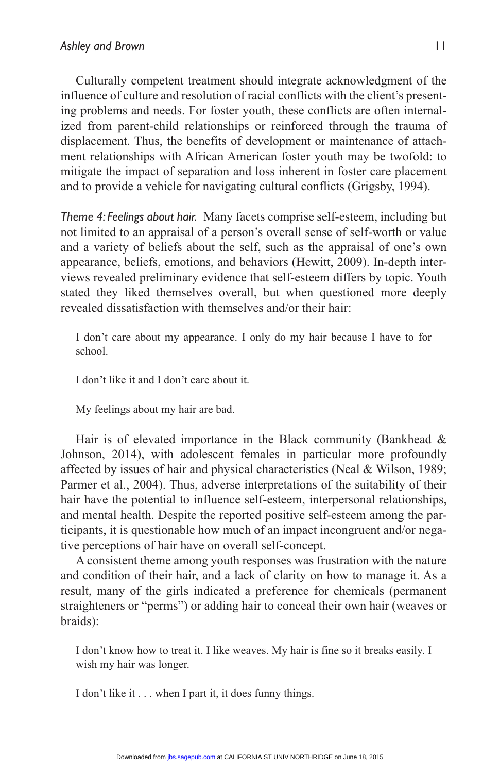Culturally competent treatment should integrate acknowledgment of the influence of culture and resolution of racial conflicts with the client's presenting problems and needs. For foster youth, these conflicts are often internalized from parent-child relationships or reinforced through the trauma of displacement. Thus, the benefits of development or maintenance of attachment relationships with African American foster youth may be twofold: to mitigate the impact of separation and loss inherent in foster care placement and to provide a vehicle for navigating cultural conflicts (Grigsby, 1994).

*Theme 4: Feelings about hair.* Many facets comprise self-esteem, including but not limited to an appraisal of a person's overall sense of self-worth or value and a variety of beliefs about the self, such as the appraisal of one's own appearance, beliefs, emotions, and behaviors (Hewitt, 2009). In-depth interviews revealed preliminary evidence that self-esteem differs by topic. Youth stated they liked themselves overall, but when questioned more deeply revealed dissatisfaction with themselves and/or their hair:

I don't care about my appearance. I only do my hair because I have to for school.

I don't like it and I don't care about it.

My feelings about my hair are bad.

Hair is of elevated importance in the Black community (Bankhead  $\&$ Johnson, 2014), with adolescent females in particular more profoundly affected by issues of hair and physical characteristics (Neal & Wilson, 1989; Parmer et al., 2004). Thus, adverse interpretations of the suitability of their hair have the potential to influence self-esteem, interpersonal relationships, and mental health. Despite the reported positive self-esteem among the participants, it is questionable how much of an impact incongruent and/or negative perceptions of hair have on overall self-concept.

A consistent theme among youth responses was frustration with the nature and condition of their hair, and a lack of clarity on how to manage it. As a result, many of the girls indicated a preference for chemicals (permanent straighteners or "perms") or adding hair to conceal their own hair (weaves or braids):

I don't know how to treat it. I like weaves. My hair is fine so it breaks easily. I wish my hair was longer.

I don't like it . . . when I part it, it does funny things.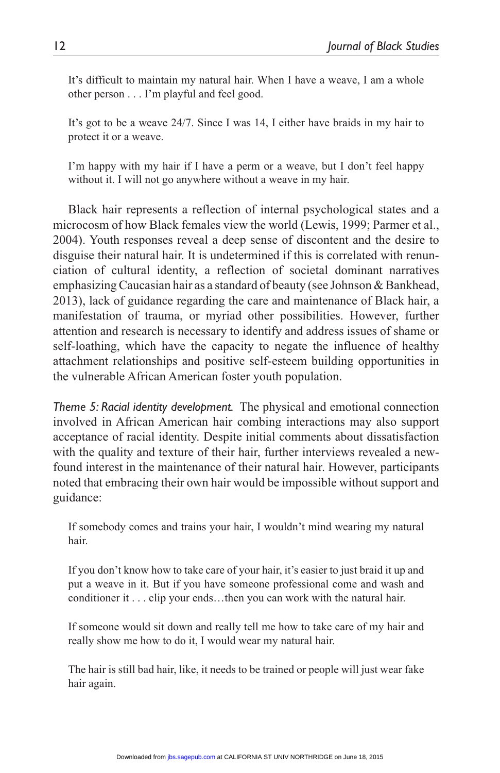It's difficult to maintain my natural hair. When I have a weave, I am a whole other person . . . I'm playful and feel good.

It's got to be a weave 24/7. Since I was 14, I either have braids in my hair to protect it or a weave.

I'm happy with my hair if I have a perm or a weave, but I don't feel happy without it. I will not go anywhere without a weave in my hair.

Black hair represents a reflection of internal psychological states and a microcosm of how Black females view the world (Lewis, 1999; Parmer et al., 2004). Youth responses reveal a deep sense of discontent and the desire to disguise their natural hair. It is undetermined if this is correlated with renunciation of cultural identity, a reflection of societal dominant narratives emphasizing Caucasian hair as a standard of beauty (see Johnson & Bankhead, 2013), lack of guidance regarding the care and maintenance of Black hair, a manifestation of trauma, or myriad other possibilities. However, further attention and research is necessary to identify and address issues of shame or self-loathing, which have the capacity to negate the influence of healthy attachment relationships and positive self-esteem building opportunities in the vulnerable African American foster youth population.

*Theme 5: Racial identity development.* The physical and emotional connection involved in African American hair combing interactions may also support acceptance of racial identity. Despite initial comments about dissatisfaction with the quality and texture of their hair, further interviews revealed a newfound interest in the maintenance of their natural hair. However, participants noted that embracing their own hair would be impossible without support and guidance:

If somebody comes and trains your hair, I wouldn't mind wearing my natural hair.

If you don't know how to take care of your hair, it's easier to just braid it up and put a weave in it. But if you have someone professional come and wash and conditioner it . . . clip your ends…then you can work with the natural hair.

If someone would sit down and really tell me how to take care of my hair and really show me how to do it, I would wear my natural hair.

The hair is still bad hair, like, it needs to be trained or people will just wear fake hair again.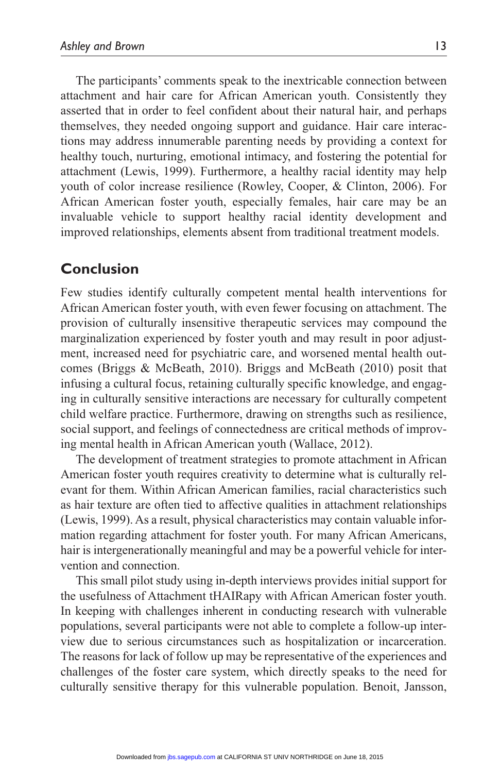The participants' comments speak to the inextricable connection between attachment and hair care for African American youth. Consistently they asserted that in order to feel confident about their natural hair, and perhaps themselves, they needed ongoing support and guidance. Hair care interactions may address innumerable parenting needs by providing a context for healthy touch, nurturing, emotional intimacy, and fostering the potential for attachment (Lewis, 1999). Furthermore, a healthy racial identity may help youth of color increase resilience (Rowley, Cooper, & Clinton, 2006). For African American foster youth, especially females, hair care may be an invaluable vehicle to support healthy racial identity development and improved relationships, elements absent from traditional treatment models.

## **Conclusion**

Few studies identify culturally competent mental health interventions for African American foster youth, with even fewer focusing on attachment. The provision of culturally insensitive therapeutic services may compound the marginalization experienced by foster youth and may result in poor adjustment, increased need for psychiatric care, and worsened mental health outcomes (Briggs & McBeath, 2010). Briggs and McBeath (2010) posit that infusing a cultural focus, retaining culturally specific knowledge, and engaging in culturally sensitive interactions are necessary for culturally competent child welfare practice. Furthermore, drawing on strengths such as resilience, social support, and feelings of connectedness are critical methods of improving mental health in African American youth (Wallace, 2012).

The development of treatment strategies to promote attachment in African American foster youth requires creativity to determine what is culturally relevant for them. Within African American families, racial characteristics such as hair texture are often tied to affective qualities in attachment relationships (Lewis, 1999). As a result, physical characteristics may contain valuable information regarding attachment for foster youth. For many African Americans, hair is intergenerationally meaningful and may be a powerful vehicle for intervention and connection.

This small pilot study using in-depth interviews provides initial support for the usefulness of Attachment tHAIRapy with African American foster youth. In keeping with challenges inherent in conducting research with vulnerable populations, several participants were not able to complete a follow-up interview due to serious circumstances such as hospitalization or incarceration. The reasons for lack of follow up may be representative of the experiences and challenges of the foster care system, which directly speaks to the need for culturally sensitive therapy for this vulnerable population. Benoit, Jansson,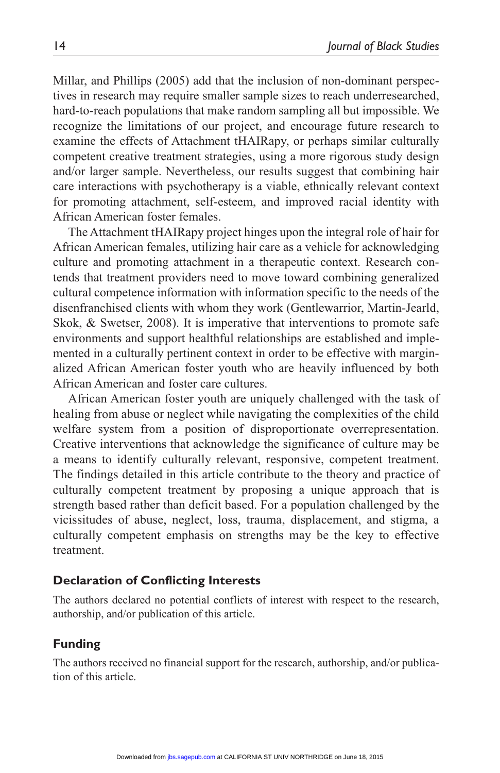Millar, and Phillips (2005) add that the inclusion of non-dominant perspectives in research may require smaller sample sizes to reach underresearched, hard-to-reach populations that make random sampling all but impossible. We recognize the limitations of our project, and encourage future research to examine the effects of Attachment tHAIRapy, or perhaps similar culturally competent creative treatment strategies, using a more rigorous study design and/or larger sample. Nevertheless, our results suggest that combining hair care interactions with psychotherapy is a viable, ethnically relevant context for promoting attachment, self-esteem, and improved racial identity with African American foster females.

The Attachment tHAIRapy project hinges upon the integral role of hair for African American females, utilizing hair care as a vehicle for acknowledging culture and promoting attachment in a therapeutic context. Research contends that treatment providers need to move toward combining generalized cultural competence information with information specific to the needs of the disenfranchised clients with whom they work (Gentlewarrior, Martin-Jearld, Skok, & Swetser, 2008). It is imperative that interventions to promote safe environments and support healthful relationships are established and implemented in a culturally pertinent context in order to be effective with marginalized African American foster youth who are heavily influenced by both African American and foster care cultures.

African American foster youth are uniquely challenged with the task of healing from abuse or neglect while navigating the complexities of the child welfare system from a position of disproportionate overrepresentation. Creative interventions that acknowledge the significance of culture may be a means to identify culturally relevant, responsive, competent treatment. The findings detailed in this article contribute to the theory and practice of culturally competent treatment by proposing a unique approach that is strength based rather than deficit based. For a population challenged by the vicissitudes of abuse, neglect, loss, trauma, displacement, and stigma, a culturally competent emphasis on strengths may be the key to effective treatment.

#### **Declaration of Conflicting Interests**

The authors declared no potential conflicts of interest with respect to the research, authorship, and/or publication of this article.

#### **Funding**

The authors received no financial support for the research, authorship, and/or publication of this article.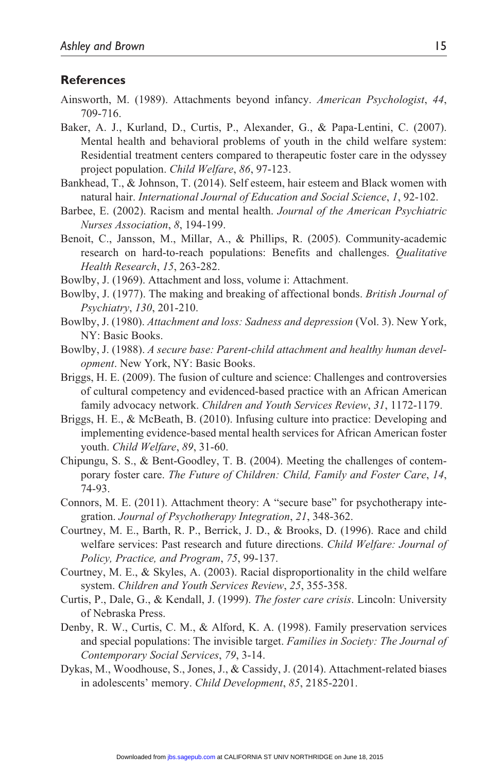#### **References**

- Ainsworth, M. (1989). Attachments beyond infancy. *American Psychologist*, *44*, 709-716.
- Baker, A. J., Kurland, D., Curtis, P., Alexander, G., & Papa-Lentini, C. (2007). Mental health and behavioral problems of youth in the child welfare system: Residential treatment centers compared to therapeutic foster care in the odyssey project population. *Child Welfare*, *86*, 97-123.
- Bankhead, T., & Johnson, T. (2014). Self esteem, hair esteem and Black women with natural hair. *International Journal of Education and Social Science*, *1*, 92-102.
- Barbee, E. (2002). Racism and mental health. *Journal of the American Psychiatric Nurses Association*, *8*, 194-199.
- Benoit, C., Jansson, M., Millar, A., & Phillips, R. (2005). Community-academic research on hard-to-reach populations: Benefits and challenges. *Qualitative Health Research*, *15*, 263-282.
- Bowlby, J. (1969). Attachment and loss, volume i: Attachment.
- Bowlby, J. (1977). The making and breaking of affectional bonds. *British Journal of Psychiatry*, *130*, 201-210.
- Bowlby, J. (1980). *Attachment and loss: Sadness and depression* (Vol. 3). New York, NY: Basic Books.
- Bowlby, J. (1988). *A secure base: Parent-child attachment and healthy human development*. New York, NY: Basic Books.
- Briggs, H. E. (2009). The fusion of culture and science: Challenges and controversies of cultural competency and evidenced-based practice with an African American family advocacy network. *Children and Youth Services Review*, *31*, 1172-1179.
- Briggs, H. E., & McBeath, B. (2010). Infusing culture into practice: Developing and implementing evidence-based mental health services for African American foster youth. *Child Welfare*, *89*, 31-60.
- Chipungu, S. S., & Bent-Goodley, T. B. (2004). Meeting the challenges of contemporary foster care. *The Future of Children: Child, Family and Foster Care*, *14*, 74-93.
- Connors, M. E. (2011). Attachment theory: A "secure base" for psychotherapy integration. *Journal of Psychotherapy Integration*, *21*, 348-362.
- Courtney, M. E., Barth, R. P., Berrick, J. D., & Brooks, D. (1996). Race and child welfare services: Past research and future directions. *Child Welfare: Journal of Policy, Practice, and Program*, *75*, 99-137.
- Courtney, M. E., & Skyles, A. (2003). Racial disproportionality in the child welfare system. *Children and Youth Services Review*, *25*, 355-358.
- Curtis, P., Dale, G., & Kendall, J. (1999). *The foster care crisis*. Lincoln: University of Nebraska Press.
- Denby, R. W., Curtis, C. M., & Alford, K. A. (1998). Family preservation services and special populations: The invisible target. *Families in Society: The Journal of Contemporary Social Services*, *79*, 3-14.
- Dykas, M., Woodhouse, S., Jones, J., & Cassidy, J. (2014). Attachment-related biases in adolescents' memory. *Child Development*, *85*, 2185-2201.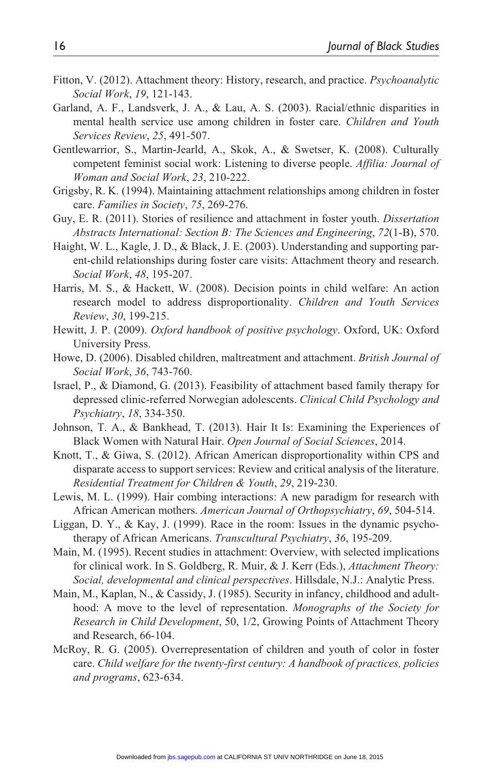- Fitton, V. (2012). Attachment theory: History, research, and practice. *Psychoanalytic Social Work*, *19*, 121-143.
- Garland, A. F., Landsverk, J. A., & Lau, A. S. (2003). Racial/ethnic disparities in mental health service use among children in foster care. *Children and Youth Services Review*, *25*, 491-507.
- Gentlewarrior, S., Martin-Jearld, A., Skok, A., & Swetser, K. (2008). Culturally competent feminist social work: Listening to diverse people. *Affilia: Journal of Woman and Social Work*, *23*, 210-222.
- Grigsby, R. K. (1994). Maintaining attachment relationships among children in foster care. *Families in Society*, *75*, 269-276.
- Guy, E. R. (2011). Stories of resilience and attachment in foster youth. *Dissertation Abstracts International: Section B: The Sciences and Engineering*, *72*(1-B), 570.
- Haight, W. L., Kagle, J. D., & Black, J. E. (2003). Understanding and supporting parent-child relationships during foster care visits: Attachment theory and research. *Social Work*, *48*, 195-207.
- Harris, M. S., & Hackett, W. (2008). Decision points in child welfare: An action research model to address disproportionality. *Children and Youth Services Review*, *30*, 199-215.
- Hewitt, J. P. (2009). *Oxford handbook of positive psychology*. Oxford, UK: Oxford University Press.
- Howe, D. (2006). Disabled children, maltreatment and attachment. *British Journal of Social Work*, *36*, 743-760.
- Israel, P., & Diamond, G. (2013). Feasibility of attachment based family therapy for depressed clinic-referred Norwegian adolescents. *Clinical Child Psychology and Psychiatry*, *18*, 334-350.
- Johnson, T. A., & Bankhead, T. (2013). Hair It Is: Examining the Experiences of Black Women with Natural Hair. *Open Journal of Social Sciences*, 2014.
- Knott, T., & Giwa, S. (2012). African American disproportionality within CPS and disparate access to support services: Review and critical analysis of the literature. *Residential Treatment for Children & Youth*, *29*, 219-230.
- Lewis, M. L. (1999). Hair combing interactions: A new paradigm for research with African American mothers. *American Journal of Orthopsychiatry*, *69*, 504-514.
- Liggan, D. Y., & Kay, J. (1999). Race in the room: Issues in the dynamic psychotherapy of African Americans. *Transcultural Psychiatry*, *36*, 195-209.
- Main, M. (1995). Recent studies in attachment: Overview, with selected implications for clinical work. In S. Goldberg, R. Muir, & J. Kerr (Eds.), *Attachment Theory: Social, developmental and clinical perspectives*. Hillsdale, N.J.: Analytic Press.
- Main, M., Kaplan, N., & Cassidy, J. (1985). Security in infancy, childhood and adulthood: A move to the level of representation. *Monographs of the Society for Research in Child Development*, 50, 1/2, Growing Points of Attachment Theory and Research, 66-104.
- McRoy, R. G. (2005). Overrepresentation of children and youth of color in foster care. *Child welfare for the twenty-first century: A handbook of practices, policies and programs*, 623-634.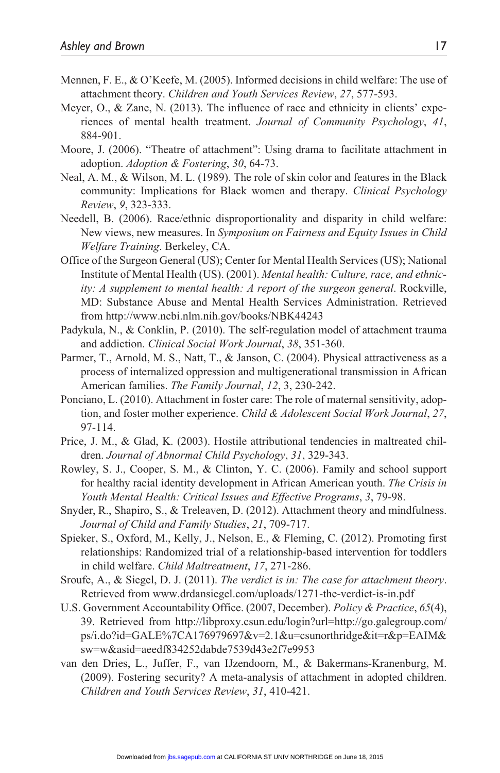- Mennen, F. E., & O'Keefe, M. (2005). Informed decisions in child welfare: The use of attachment theory. *Children and Youth Services Review*, *27*, 577-593.
- Meyer, O., & Zane, N. (2013). The influence of race and ethnicity in clients' experiences of mental health treatment. *Journal of Community Psychology*, *41*, 884-901.
- Moore, J. (2006). "Theatre of attachment": Using drama to facilitate attachment in adoption. *Adoption & Fostering*, *30*, 64-73.
- Neal, A. M., & Wilson, M. L. (1989). The role of skin color and features in the Black community: Implications for Black women and therapy. *Clinical Psychology Review*, *9*, 323-333.
- Needell, B. (2006). Race/ethnic disproportionality and disparity in child welfare: New views, new measures. In *Symposium on Fairness and Equity Issues in Child Welfare Training*. Berkeley, CA.
- Office of the Surgeon General (US); Center for Mental Health Services (US); National Institute of Mental Health (US). (2001). *Mental health: Culture, race, and ethnicity: A supplement to mental health: A report of the surgeon general*. Rockville, MD: Substance Abuse and Mental Health Services Administration. Retrieved from <http://www.ncbi.nlm.nih.gov/books/NBK44243>
- Padykula, N., & Conklin, P. (2010). The self-regulation model of attachment trauma and addiction. *Clinical Social Work Journal*, *38*, 351-360.
- Parmer, T., Arnold, M. S., Natt, T., & Janson, C. (2004). Physical attractiveness as a process of internalized oppression and multigenerational transmission in African American families. *The Family Journal*, *12*, 3, 230-242.
- Ponciano, L. (2010). Attachment in foster care: The role of maternal sensitivity, adoption, and foster mother experience. *Child & Adolescent Social Work Journal*, *27*, 97-114.
- Price, J. M., & Glad, K. (2003). Hostile attributional tendencies in maltreated children. *Journal of Abnormal Child Psychology*, *31*, 329-343.
- Rowley, S. J., Cooper, S. M., & Clinton, Y. C. (2006). Family and school support for healthy racial identity development in African American youth. *The Crisis in Youth Mental Health: Critical Issues and Effective Programs*, *3*, 79-98.
- Snyder, R., Shapiro, S., & Treleaven, D. (2012). Attachment theory and mindfulness. *Journal of Child and Family Studies*, *21*, 709-717.
- Spieker, S., Oxford, M., Kelly, J., Nelson, E., & Fleming, C. (2012). Promoting first relationships: Randomized trial of a relationship-based intervention for toddlers in child welfare. *Child Maltreatment*, *17*, 271-286.
- Sroufe, A., & Siegel, D. J. (2011). *The verdict is in: The case for attachment theory*. Retrieved from <www.drdansiegel.com/uploads/1271-the-verdict-is-in.pdf>
- U.S. Government Accountability Office. (2007, December). *Policy & Practice*, *65*(4), 39. Retrieved from [http://libproxy.csun.edu/login?url=http://go.galegroup.com/](http://libproxy.csun.edu/login?url=http://go.galegroup.com/ps/i.do?id=GALE%7CA176979697&v=2.1&u=csunorthridge&it=r&p=EAIM&sw=w&asid=aeedf834252dabde7539d43e2f7e9953) [ps/i.do?id=GALE%7CA176979697&v=2.1&u=csunorthridge&it=r&p=EAIM&](http://libproxy.csun.edu/login?url=http://go.galegroup.com/ps/i.do?id=GALE%7CA176979697&v=2.1&u=csunorthridge&it=r&p=EAIM&sw=w&asid=aeedf834252dabde7539d43e2f7e9953) [sw=w&asid=aeedf834252dabde7539d43e2f7e9953](http://libproxy.csun.edu/login?url=http://go.galegroup.com/ps/i.do?id=GALE%7CA176979697&v=2.1&u=csunorthridge&it=r&p=EAIM&sw=w&asid=aeedf834252dabde7539d43e2f7e9953)
- van den Dries, L., Juffer, F., van IJzendoorn, M., & Bakermans-Kranenburg, M. (2009). Fostering security? A meta-analysis of attachment in adopted children. *Children and Youth Services Review*, *31*, 410-421.